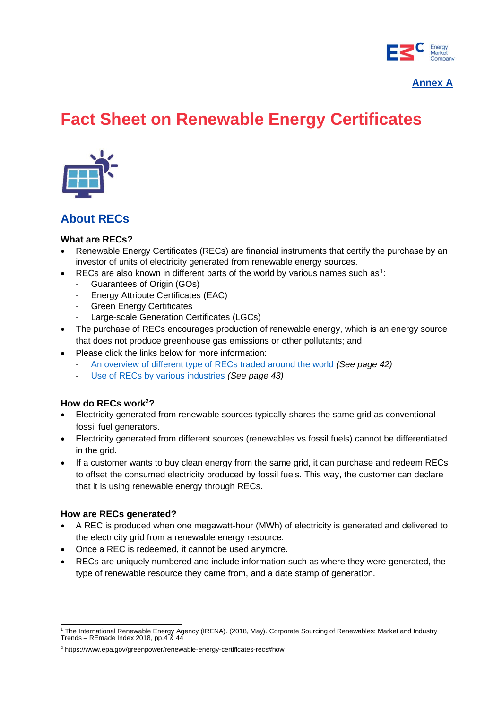



# **Fact Sheet on Renewable Energy Certificates**



### **About RECs**

#### **What are RECs?**

- Renewable Energy Certificates (RECs) are financial instruments that certify the purchase by an investor of units of electricity generated from renewable energy sources.
- RECs are also known in different parts of the world by various names such as<sup>1</sup>:
	- Guarantees of Origin (GOs)
	- Energy Attribute Certificates (EAC)
	- **Green Energy Certificates**
	- Large-scale Generation Certificates (LGCs)
- The purchase of RECs encourages production of renewable energy, which is an energy source that does not produce greenhouse gas emissions or other pollutants; and
- Please click the links below for more information:
	- [An overview of different type of RECs traded around the world](https://irena.org/-/media/Files/IRENA/Agency/Publication/2018/May/IRENA_Corporate_sourcing_2018.pdf) *(See page 42)*
	- [Use of RECs by various industries](https://irena.org/-/media/Files/IRENA/Agency/Publication/2018/May/IRENA_Corporate_sourcing_2018.pdf) *(See page 43)*

#### **How do RECs work<sup>2</sup>?**

- Electricity generated from renewable sources typically shares the same grid as conventional fossil fuel generators.
- Electricity generated from different sources (renewables vs fossil fuels) cannot be differentiated in the grid.
- If a customer wants to buy clean energy from the same grid, it can purchase and redeem RECs to offset the consumed electricity produced by fossil fuels. This way, the customer can declare that it is using renewable energy through RECs.

#### **How are RECs generated?**

- A REC is produced when one megawatt-hour (MWh) of electricity is generated and delivered to the electricity grid from a renewable energy resource.
- Once a REC is redeemed, it cannot be used anymore.
- RECs are uniquely numbered and include information such as where they were generated, the type of renewable resource they came from, and a date stamp of generation.

<sup>1</sup> The International Renewable Energy Agency (IRENA). (2018, May). Corporate Sourcing of Renewables: Market and Industry Trends – REmade Index 2018, pp.4 & 44

<sup>2</sup> https://www.epa.gov/greenpower/renewable-energy-certificates-recs#how